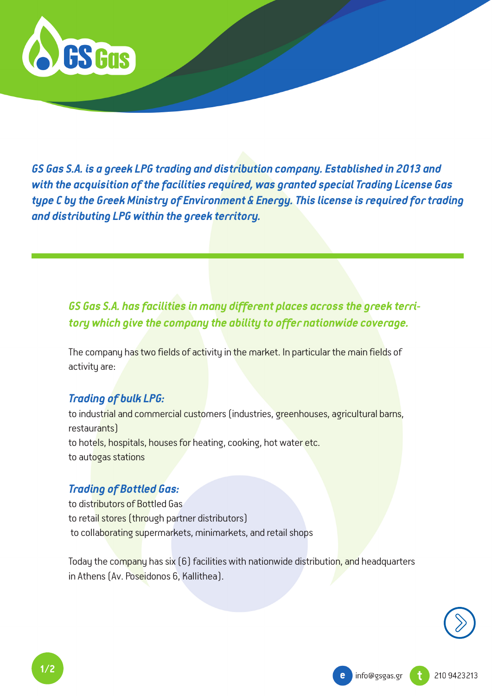

*GS Gas S.A. is a greek LPG trading and distribution company. Established in 2013 and with the acquisition of the facilities required, was granted special Trading License Gas type C by the Greek Ministry of Environment & Energy. This license is required for trading and distributing LPG within the greek territory.*

## *GS Gas S.A. has facilities in many different places across the greek territory which give the company the ability to offer nationwide coverage.*

The company has two fields of activity in the market. In particular the main fields of activity are:

## *Trading of bulk LPG:*

to industrial and commercial customers (industries, greenhouses, agricultural barns, restaurants) to hotels, hospitals, houses for heating, cooking, hot water etc. to autogas stations

## *Trading of Bottled Gas:*

to distributors of Bottled Gas to retail stores (through partner distributors) to collaborating supermarkets, minimarkets, and retail shops

Today the company has six (6) facilities with nationwide distribution, and headquarters in Athens (Av. Poseidonos 6, Kallithea).